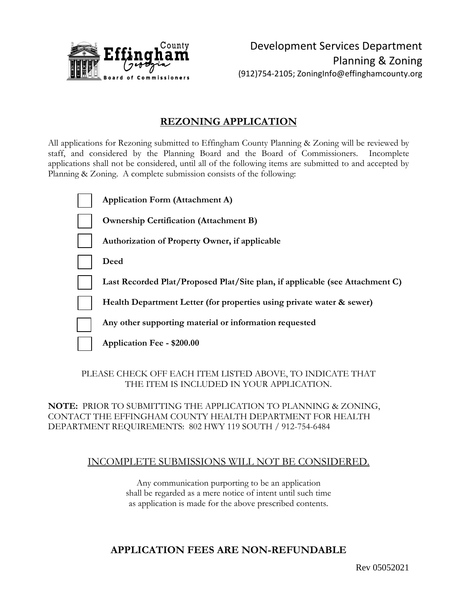

### **REZONING APPLICATION**

All applications for Rezoning submitted to Effingham County Planning & Zoning will be reviewed by staff, and considered by the Planning Board and the Board of Commissioners. Incomplete applications shall not be considered, until all of the following items are submitted to and accepted by Planning & Zoning. A complete submission consists of the following:

| <b>Application Form (Attachment A)</b>                                       |
|------------------------------------------------------------------------------|
| <b>Ownership Certification (Attachment B)</b>                                |
| Authorization of Property Owner, if applicable                               |
| Deed                                                                         |
| Last Recorded Plat/Proposed Plat/Site plan, if applicable (see Attachment C) |
| Health Department Letter (for properties using private water & sewer)        |
| Any other supporting material or information requested                       |
| Application Fee - \$200.00                                                   |
|                                                                              |

#### PLEASE CHECK OFF EACH ITEM LISTED ABOVE, TO INDICATE THAT THE ITEM IS INCLUDED IN YOUR APPLICATION.

#### **NOTE:** PRIOR TO SUBMITTING THE APPLICATION TO PLANNING & ZONING, CONTACT THE EFFINGHAM COUNTY HEALTH DEPARTMENT FOR HEALTH DEPARTMENT REQUIREMENTS: 802 HWY 119 SOUTH / 912-754-6484

#### INCOMPLETE SUBMISSIONS WILL NOT BE CONSIDERED.

Any communication purporting to be an application shall be regarded as a mere notice of intent until such time as application is made for the above prescribed contents.

## **APPLICATION FEES ARE NON-REFUNDABLE**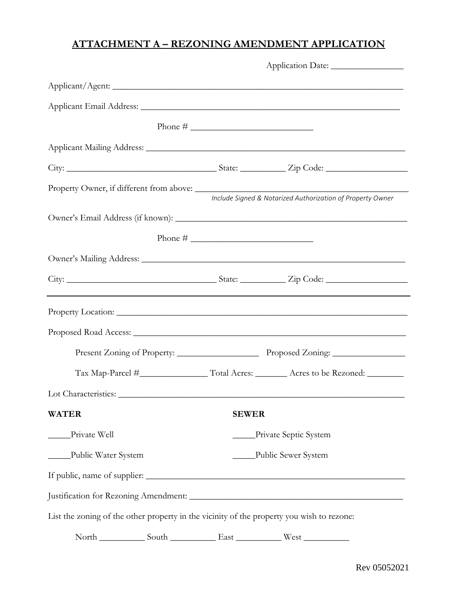# **ATTACHMENT A – REZONING AMENDMENT APPLICATION**

|                                                                                           |              | Include Signed & Notarized Authorization of Property Owner |  |  |
|-------------------------------------------------------------------------------------------|--------------|------------------------------------------------------------|--|--|
|                                                                                           |              |                                                            |  |  |
|                                                                                           |              |                                                            |  |  |
|                                                                                           |              |                                                            |  |  |
|                                                                                           |              |                                                            |  |  |
|                                                                                           |              |                                                            |  |  |
|                                                                                           |              |                                                            |  |  |
|                                                                                           |              |                                                            |  |  |
|                                                                                           |              |                                                            |  |  |
|                                                                                           |              |                                                            |  |  |
| <b>WATER</b>                                                                              | <b>SEWER</b> |                                                            |  |  |
| Private Well                                                                              |              | Private Septic System                                      |  |  |
| Public Water System                                                                       |              | Public Sewer System                                        |  |  |
|                                                                                           |              |                                                            |  |  |
|                                                                                           |              |                                                            |  |  |
| List the zoning of the other property in the vicinity of the property you wish to rezone: |              |                                                            |  |  |
|                                                                                           |              |                                                            |  |  |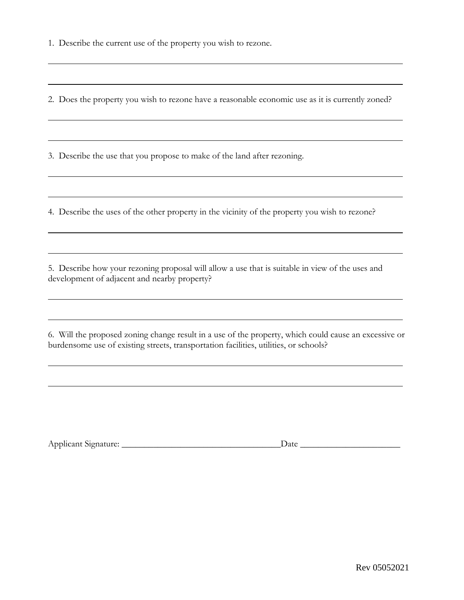1. Describe the current use of the property you wish to rezone.

2. Does the property you wish to rezone have a reasonable economic use as it is currently zoned?

3. Describe the use that you propose to make of the land after rezoning.

4. Describe the uses of the other property in the vicinity of the property you wish to rezone?

5. Describe how your rezoning proposal will allow a use that is suitable in view of the uses and development of adjacent and nearby property?

6. Will the proposed zoning change result in a use of the property, which could cause an excessive or burdensome use of existing streets, transportation facilities, utilities, or schools?

| ure<br>Applicant<br>Nionaf |  |  |
|----------------------------|--|--|
| . .                        |  |  |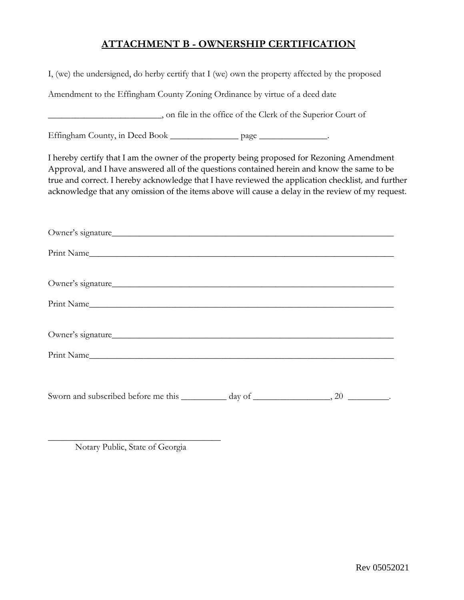# **ATTACHMENT B - OWNERSHIP CERTIFICATION**

| I, (we) the undersigned, do herby certify that I (we) own the property affected by the proposed                                                                                                                                                                                                                                                                                                     |  |  |  |  |  |  |
|-----------------------------------------------------------------------------------------------------------------------------------------------------------------------------------------------------------------------------------------------------------------------------------------------------------------------------------------------------------------------------------------------------|--|--|--|--|--|--|
| Amendment to the Effingham County Zoning Ordinance by virtue of a deed date                                                                                                                                                                                                                                                                                                                         |  |  |  |  |  |  |
|                                                                                                                                                                                                                                                                                                                                                                                                     |  |  |  |  |  |  |
| Effingham County, in Deed Book __________________ page _________________.                                                                                                                                                                                                                                                                                                                           |  |  |  |  |  |  |
| I hereby certify that I am the owner of the property being proposed for Rezoning Amendment<br>Approval, and I have answered all of the questions contained herein and know the same to be<br>true and correct. I hereby acknowledge that I have reviewed the application checklist, and further<br>acknowledge that any omission of the items above will cause a delay in the review of my request. |  |  |  |  |  |  |
|                                                                                                                                                                                                                                                                                                                                                                                                     |  |  |  |  |  |  |
|                                                                                                                                                                                                                                                                                                                                                                                                     |  |  |  |  |  |  |
| Owner's signature                                                                                                                                                                                                                                                                                                                                                                                   |  |  |  |  |  |  |
|                                                                                                                                                                                                                                                                                                                                                                                                     |  |  |  |  |  |  |
| Owner's signature                                                                                                                                                                                                                                                                                                                                                                                   |  |  |  |  |  |  |
| Print Name Contract Contract Contract Contract Contract Contract Contract Contract Contract Contract Contract Contract Contract Contract Contract Contract Contract Contract Contract Contract Contract Contract Contract Cont                                                                                                                                                                      |  |  |  |  |  |  |
|                                                                                                                                                                                                                                                                                                                                                                                                     |  |  |  |  |  |  |
|                                                                                                                                                                                                                                                                                                                                                                                                     |  |  |  |  |  |  |

\_\_\_\_\_\_\_\_\_\_\_\_\_\_\_\_\_\_\_\_\_\_\_\_\_\_\_\_\_\_\_\_\_\_\_\_\_\_ Notary Public, State of Georgia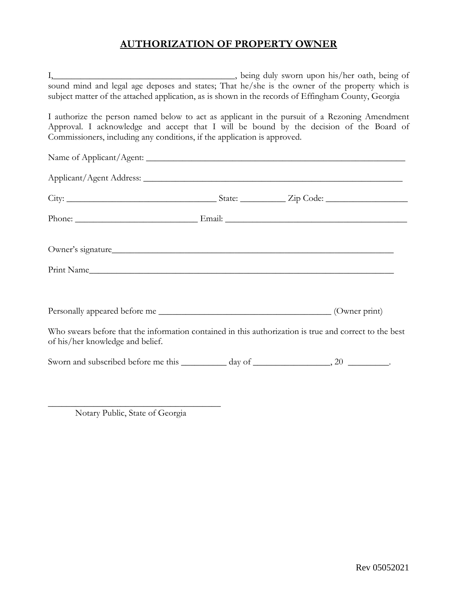# **AUTHORIZATION OF PROPERTY OWNER**

| I, being duly sworn upon his/her oath, being of                                                                                                                                                                                                                      |  |
|----------------------------------------------------------------------------------------------------------------------------------------------------------------------------------------------------------------------------------------------------------------------|--|
| sound mind and legal age deposes and states; That he/she is the owner of the property which is<br>subject matter of the attached application, as is shown in the records of Effingham County, Georgia                                                                |  |
| I authorize the person named below to act as applicant in the pursuit of a Rezoning Amendment<br>Approval. I acknowledge and accept that I will be bound by the decision of the Board of<br>Commissioners, including any conditions, if the application is approved. |  |
|                                                                                                                                                                                                                                                                      |  |
|                                                                                                                                                                                                                                                                      |  |
|                                                                                                                                                                                                                                                                      |  |
|                                                                                                                                                                                                                                                                      |  |
| Owner's signature                                                                                                                                                                                                                                                    |  |
| Print Name                                                                                                                                                                                                                                                           |  |
|                                                                                                                                                                                                                                                                      |  |
|                                                                                                                                                                                                                                                                      |  |
| Who swears before that the information contained in this authorization is true and correct to the best<br>of his/her knowledge and belief.                                                                                                                           |  |
|                                                                                                                                                                                                                                                                      |  |
|                                                                                                                                                                                                                                                                      |  |

\_\_\_\_\_\_\_\_\_\_\_\_\_\_\_\_\_\_\_\_\_\_\_\_\_\_\_\_\_\_\_\_\_\_\_\_\_\_ Notary Public, State of Georgia